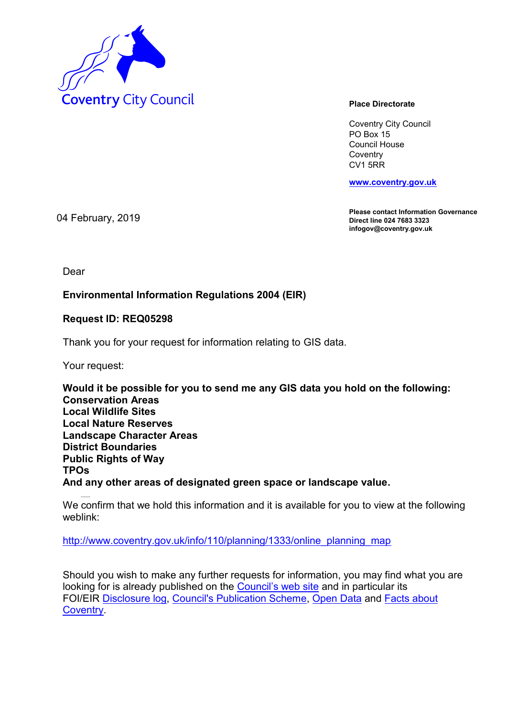

Coventry City Council PO Box 15 Council House **Coventry** CV1 5RR

**www.coventry.gov.uk**

**Please contact Information Governance Direct line 024 7683 3323 infogov@coventry.gov.uk** 

04 February, 2019

Dear

## **Environmental Information Regulations 2004 (EIR)**

## **Request ID: REQ05298**

Thank you for your request for information relating to GIS data.

Your request:

**Would it be possible for you to send me any GIS data you hold on the following: Conservation Areas Local Wildlife Sites Local Nature Reserves Landscape Character Areas District Boundaries Public Rights of Way TPOs And any other areas of designated green space or landscape value.**

We confirm that we hold this information and it is available for you to view at the following weblink:

http://www.coventry.gov.uk/info/110/planning/1333/online\_planning\_map

Should you wish to make any further requests for information, you may find what you are looking for is already published on the Council's web site and in particular its FOI/EIR Disclosure log, Council's Publication Scheme, Open Data and Facts about Coventry.